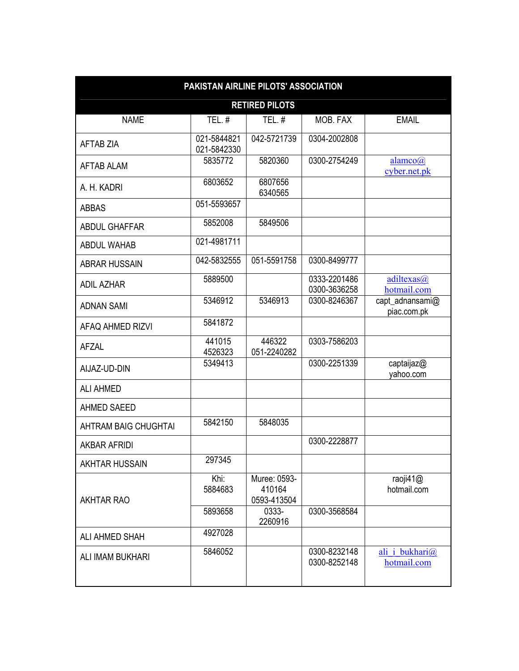|                       | PAKISTAN AIRLINE PILOTS' ASSOCIATION |                                       |                              |                                |  |  |  |  |
|-----------------------|--------------------------------------|---------------------------------------|------------------------------|--------------------------------|--|--|--|--|
|                       | <b>RETIRED PILOTS</b>                |                                       |                              |                                |  |  |  |  |
| <b>NAME</b>           | TEL. $#$                             | TEL. $#$                              | MOB. FAX                     | <b>EMAIL</b>                   |  |  |  |  |
| <b>AFTAB ZIA</b>      | 021-5844821<br>021-5842330           | 042-5721739                           | 0304-2002808                 |                                |  |  |  |  |
| AFTAB ALAM            | 5835772                              | 5820360                               | 0300-2754249                 | alamco(a)<br>cyber.net.pk      |  |  |  |  |
| A. H. KADRI           | 6803652                              | 6807656<br>6340565                    |                              |                                |  |  |  |  |
| <b>ABBAS</b>          | 051-5593657                          |                                       |                              |                                |  |  |  |  |
| <b>ABDUL GHAFFAR</b>  | 5852008                              | 5849506                               |                              |                                |  |  |  |  |
| <b>ABDUL WAHAB</b>    | 021-4981711                          |                                       |                              |                                |  |  |  |  |
| <b>ABRAR HUSSAIN</b>  | 042-5832555                          | 051-5591758                           | 0300-8499777                 |                                |  |  |  |  |
| <b>ADIL AZHAR</b>     | 5889500                              |                                       | 0333-2201486<br>0300-3636258 | adiltexas@<br>hotmail.com      |  |  |  |  |
| <b>ADNAN SAMI</b>     | 5346912                              | 5346913                               | 0300-8246367                 | capt_adnansami@<br>piac.com.pk |  |  |  |  |
| AFAQ AHMED RIZVI      | 5841872                              |                                       |                              |                                |  |  |  |  |
| AFZAL                 | 441015<br>4526323                    | 446322<br>051-2240282                 | 0303-7586203                 |                                |  |  |  |  |
| AIJAZ-UD-DIN          | 5349413                              |                                       | 0300-2251339                 | captaijaz@<br>yahoo.com        |  |  |  |  |
| <b>ALI AHMED</b>      |                                      |                                       |                              |                                |  |  |  |  |
| <b>AHMED SAEED</b>    |                                      |                                       |                              |                                |  |  |  |  |
| AHTRAM BAIG CHUGHTAI  | 5842150                              | 5848035                               |                              |                                |  |  |  |  |
| <b>AKBAR AFRIDI</b>   |                                      |                                       | 0300-2228877                 |                                |  |  |  |  |
| <b>AKHTAR HUSSAIN</b> | 297345                               |                                       |                              |                                |  |  |  |  |
| <b>AKHTAR RAO</b>     | Khi:<br>5884683                      | Muree: 0593-<br>410164<br>0593-413504 |                              | raoji41@<br>hotmail.com        |  |  |  |  |
|                       | 5893658                              | 0333-<br>2260916                      | 0300-3568584                 |                                |  |  |  |  |
| <b>ALI AHMED SHAH</b> | 4927028                              |                                       |                              |                                |  |  |  |  |
| ALI IMAM BUKHARI      | 5846052                              |                                       | 0300-8232148<br>0300-8252148 | ali i bukhari@<br>hotmail.com  |  |  |  |  |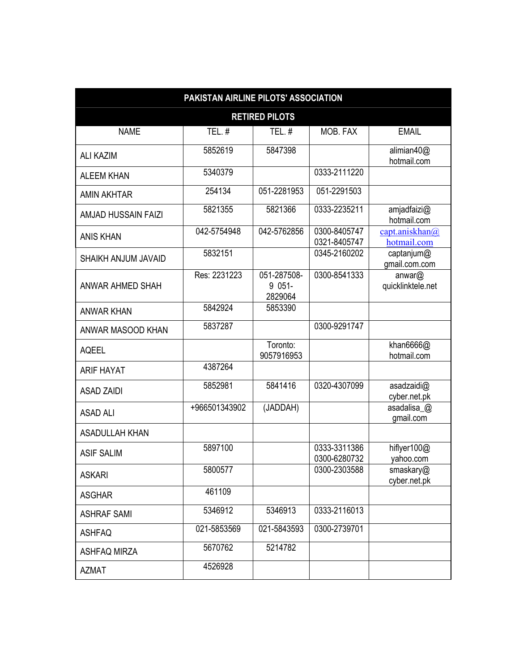|                       | PAKISTAN AIRLINE PILOTS' ASSOCIATION |                                    |                              |                                                   |
|-----------------------|--------------------------------------|------------------------------------|------------------------------|---------------------------------------------------|
|                       |                                      | <b>RETIRED PILOTS</b>              |                              |                                                   |
| <b>NAME</b>           | <b>TEL. #</b>                        | <b>TEL. #</b>                      | MOB. FAX                     | <b>EMAIL</b>                                      |
| <b>ALI KAZIM</b>      | 5852619                              | 5847398                            |                              | alimian40@<br>hotmail.com                         |
| <b>ALEEM KHAN</b>     | 5340379                              |                                    | 0333-2111220                 |                                                   |
| <b>AMIN AKHTAR</b>    | 254134                               | 051-2281953                        | 051-2291503                  |                                                   |
| AMJAD HUSSAIN FAIZI   | 5821355                              | 5821366                            | 0333-2235211                 | amjadfaizi@<br>hotmail.com                        |
| <b>ANIS KHAN</b>      | 042-5754948                          | 042-5762856                        | 0300-8405747<br>0321-8405747 | $\frac{\text{capt.aniskhan}(a)}{}$<br>hotmail.com |
| SHAIKH ANJUM JAVAID   | 5832151                              |                                    | 0345-2160202                 | captanjum@<br>gmail.com.com                       |
| ANWAR AHMED SHAH      | Res: 2231223                         | 051-287508-<br>$9051 -$<br>2829064 | 0300-8541333                 | anwar@<br>quicklinktele.net                       |
| <b>ANWAR KHAN</b>     | 5842924                              | 5853390                            |                              |                                                   |
| ANWAR MASOOD KHAN     | 5837287                              |                                    | 0300-9291747                 |                                                   |
| <b>AQEEL</b>          |                                      | Toronto:<br>9057916953             |                              | khan $6666@$<br>hotmail.com                       |
| <b>ARIF HAYAT</b>     | 4387264                              |                                    |                              |                                                   |
| <b>ASAD ZAIDI</b>     | 5852981                              | 5841416                            | 0320-4307099                 | asadzaidi@<br>cyber.net.pk                        |
| <b>ASAD ALI</b>       | +966501343902                        | (JADDAH)                           |                              | asadalisa_@<br>gmail.com                          |
| <b>ASADULLAH KHAN</b> |                                      |                                    |                              |                                                   |
| <b>ASIF SALIM</b>     | 5897100                              |                                    | 0333-3311386<br>0300-6280732 | hiflyer100@<br>vahoo.com                          |
| <b>ASKARI</b>         | 5800577                              |                                    | 0300-2303588                 | smaskary@<br>cyber.net.pk                         |
| <b>ASGHAR</b>         | 461109                               |                                    |                              |                                                   |
| <b>ASHRAF SAMI</b>    | 5346912                              | 5346913                            | 0333-2116013                 |                                                   |
| <b>ASHFAQ</b>         | 021-5853569                          | 021-5843593                        | 0300-2739701                 |                                                   |
| <b>ASHFAQ MIRZA</b>   | 5670762                              | 5214782                            |                              |                                                   |
| <b>AZMAT</b>          | 4526928                              |                                    |                              |                                                   |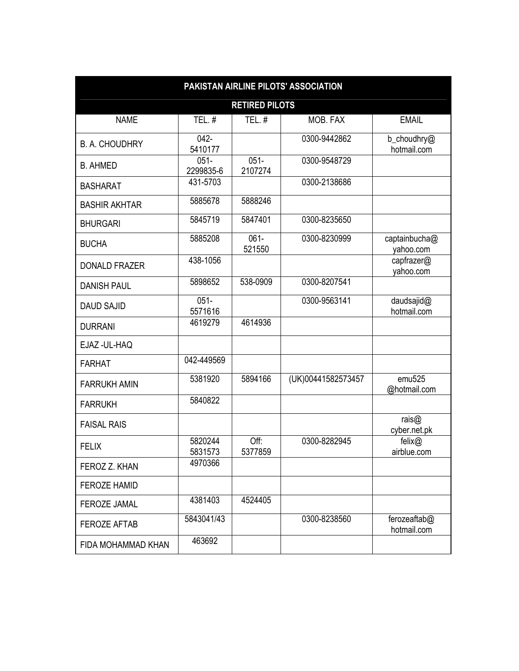|                       | PAKISTAN AIRLINE PILOTS' ASSOCIATION |                       |                    |                                    |  |  |  |
|-----------------------|--------------------------------------|-----------------------|--------------------|------------------------------------|--|--|--|
|                       |                                      | <b>RETIRED PILOTS</b> |                    |                                    |  |  |  |
| <b>NAME</b>           | TEL. $#$                             | TEL.#                 | MOB. FAX           | <b>EMAIL</b>                       |  |  |  |
| <b>B. A. CHOUDHRY</b> | $042 -$<br>5410177                   |                       | 0300-9442862       | b_choudhry@<br>hotmail.com         |  |  |  |
| <b>B. AHMED</b>       | $051 -$<br>2299835-6                 | $051 -$<br>2107274    | 0300-9548729       |                                    |  |  |  |
| <b>BASHARAT</b>       | 431-5703                             |                       | 0300-2138686       |                                    |  |  |  |
| <b>BASHIR AKHTAR</b>  | 5885678                              | 5888246               |                    |                                    |  |  |  |
| <b>BHURGARI</b>       | 5845719                              | 5847401               | 0300-8235650       |                                    |  |  |  |
| <b>BUCHA</b>          | 5885208                              | $061 -$<br>521550     | 0300-8230999       | captainbucha@<br>yahoo.com         |  |  |  |
| <b>DONALD FRAZER</b>  | 438-1056                             |                       |                    | capfrazer@<br>yahoo.com            |  |  |  |
| <b>DANISH PAUL</b>    | 5898652                              | 538-0909              | 0300-8207541       |                                    |  |  |  |
| <b>DAUD SAJID</b>     | $051 -$<br>5571616                   |                       | 0300-9563141       | daudsajid@<br>hotmail.com          |  |  |  |
| <b>DURRANI</b>        | 4619279                              | 4614936               |                    |                                    |  |  |  |
| EJAZ - UL-HAQ         |                                      |                       |                    |                                    |  |  |  |
| <b>FARHAT</b>         | 042-449569                           |                       |                    |                                    |  |  |  |
| <b>FARRUKH AMIN</b>   | 5381920                              | 5894166               | (UK)00441582573457 | emu <sub>525</sub><br>@hotmail.com |  |  |  |
| <b>FARRUKH</b>        | 5840822                              |                       |                    |                                    |  |  |  |
| <b>FAISAL RAIS</b>    |                                      |                       |                    | rais $@$<br>cyber.net.pk           |  |  |  |
| <b>FELIX</b>          | 5820244<br>5831573                   | Off:<br>5377859       | 0300-8282945       | felix@<br>airblue.com              |  |  |  |
| FEROZ Z. KHAN         | 4970366                              |                       |                    |                                    |  |  |  |
| <b>FEROZE HAMID</b>   |                                      |                       |                    |                                    |  |  |  |
| <b>FEROZE JAMAL</b>   | 4381403                              | 4524405               |                    |                                    |  |  |  |
| <b>FEROZE AFTAB</b>   | 5843041/43                           |                       | 0300-8238560       | ferozeaftab@<br>hotmail.com        |  |  |  |
| FIDA MOHAMMAD KHAN    | 463692                               |                       |                    |                                    |  |  |  |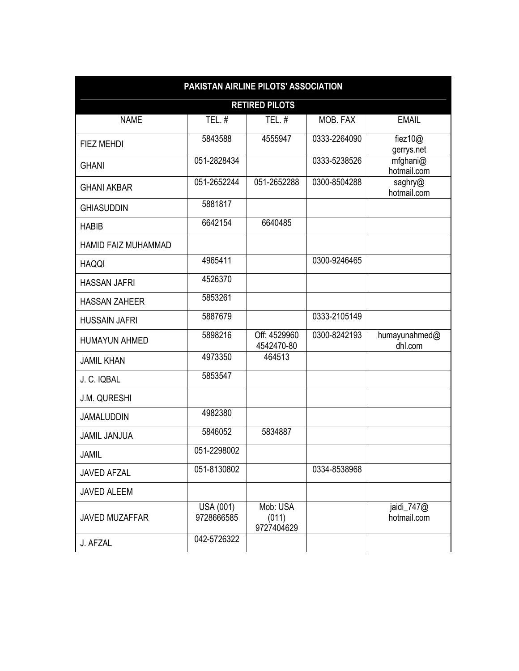| <b>RETIRED PILOTS</b>      |                                |                                 |              |                           |  |  |
|----------------------------|--------------------------------|---------------------------------|--------------|---------------------------|--|--|
| <b>NAME</b>                | TEL.#                          | TEL.#                           | MOB. FAX     | <b>EMAIL</b>              |  |  |
| FIEZ MEHDI                 | 5843588                        | 4555947                         | 0333-2264090 | fiez $10@$<br>gerrys.net  |  |  |
| <b>GHANI</b>               | 051-2828434                    |                                 | 0333-5238526 | mfghani@<br>hotmail.com   |  |  |
| <b>GHANI AKBAR</b>         | 051-2652244                    | 051-2652288                     | 0300-8504288 | saghry@<br>hotmail.com    |  |  |
| <b>GHIASUDDIN</b>          | 5881817                        |                                 |              |                           |  |  |
| <b>HABIB</b>               | 6642154                        | 6640485                         |              |                           |  |  |
| <b>HAMID FAIZ MUHAMMAD</b> |                                |                                 |              |                           |  |  |
| <b>HAQQI</b>               | 4965411                        |                                 | 0300-9246465 |                           |  |  |
| <b>HASSAN JAFRI</b>        | 4526370                        |                                 |              |                           |  |  |
| <b>HASSAN ZAHEER</b>       | 5853261                        |                                 |              |                           |  |  |
| <b>HUSSAIN JAFRI</b>       | 5887679                        |                                 | 0333-2105149 |                           |  |  |
| <b>HUMAYUN AHMED</b>       | 5898216                        | Off: 4529960<br>4542470-80      | 0300-8242193 | humayunahmed@<br>dhl.com  |  |  |
| <b>JAMIL KHAN</b>          | 4973350                        | 464513                          |              |                           |  |  |
| J. C. IQBAL                | 5853547                        |                                 |              |                           |  |  |
| <b>J.M. QURESHI</b>        |                                |                                 |              |                           |  |  |
| <b>JAMALUDDIN</b>          | 4982380                        |                                 |              |                           |  |  |
| <b>JAMIL JANJUA</b>        | 5846052                        | 5834887                         |              |                           |  |  |
| JAMIL                      | 051-2298002                    |                                 |              |                           |  |  |
| JAVED AFZAL                | 051-8130802                    |                                 | 0334-8538968 |                           |  |  |
| JAVED ALEEM                |                                |                                 |              |                           |  |  |
| JAVED MUZAFFAR             | <b>USA (001)</b><br>9728666585 | Mob: USA<br>(011)<br>9727404629 |              | jaidi_747@<br>hotmail.com |  |  |
| J. AFZAL                   | 042-5726322                    |                                 |              |                           |  |  |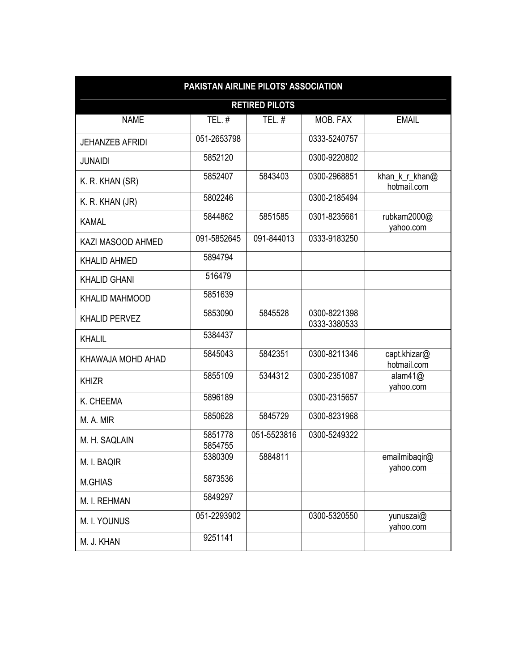| PAKISTAN AIRLINE PILOTS' ASSOCIATION |                    |                       |                              |                               |  |  |
|--------------------------------------|--------------------|-----------------------|------------------------------|-------------------------------|--|--|
|                                      |                    | <b>RETIRED PILOTS</b> |                              |                               |  |  |
| <b>NAME</b>                          | TEL.#              | <b>TEL. #</b>         | MOB. FAX                     | <b>EMAIL</b>                  |  |  |
| <b>JEHANZEB AFRIDI</b>               | 051-2653798        |                       | 0333-5240757                 |                               |  |  |
| <b>JUNAIDI</b>                       | 5852120            |                       | 0300-9220802                 |                               |  |  |
| K. R. KHAN (SR)                      | 5852407            | 5843403               | 0300-2968851                 | khan_k_r_khan@<br>hotmail.com |  |  |
| K. R. KHAN (JR)                      | 5802246            |                       | 0300-2185494                 |                               |  |  |
| <b>KAMAL</b>                         | 5844862            | 5851585               | 0301-8235661                 | rubkam2000@<br>yahoo.com      |  |  |
| KAZI MASOOD AHMED                    | 091-5852645        | 091-844013            | 0333-9183250                 |                               |  |  |
| <b>KHALID AHMED</b>                  | 5894794            |                       |                              |                               |  |  |
| <b>KHALID GHANI</b>                  | 516479             |                       |                              |                               |  |  |
| <b>KHALID MAHMOOD</b>                | 5851639            |                       |                              |                               |  |  |
| <b>KHALID PERVEZ</b>                 | 5853090            | 5845528               | 0300-8221398<br>0333-3380533 |                               |  |  |
| <b>KHALIL</b>                        | 5384437            |                       |                              |                               |  |  |
| KHAWAJA MOHD AHAD                    | 5845043            | 5842351               | 0300-8211346                 | capt.khizar@<br>hotmail.com   |  |  |
| <b>KHIZR</b>                         | 5855109            | 5344312               | 0300-2351087                 | alam $41@$<br>yahoo.com       |  |  |
| K. CHEEMA                            | 5896189            |                       | 0300-2315657                 |                               |  |  |
| M. A. MIR                            | 5850628            | 5845729               | 0300-8231968                 |                               |  |  |
| M. H. SAQLAIN                        | 5851778<br>5854755 | 051-5523816           | 0300-5249322                 |                               |  |  |
| M. I. BAQIR                          | 5380309            | 5884811               |                              | emailmibaqir@<br>yahoo.com    |  |  |
| M.GHIAS                              | 5873536            |                       |                              |                               |  |  |
| M. I. REHMAN                         | 5849297            |                       |                              |                               |  |  |
| M. I. YOUNUS                         | 051-2293902        |                       | 0300-5320550                 | yunuszai@<br>yahoo.com        |  |  |
| M. J. KHAN                           | 9251141            |                       |                              |                               |  |  |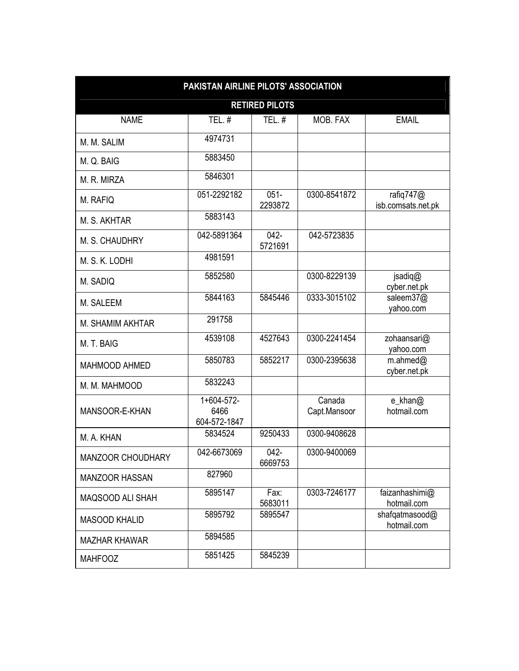| PAKISTAN AIRLINE PILOTS' ASSOCIATION |                                    |                       |                        |                                 |  |
|--------------------------------------|------------------------------------|-----------------------|------------------------|---------------------------------|--|
|                                      |                                    | <b>RETIRED PILOTS</b> |                        |                                 |  |
| <b>NAME</b>                          | TEL.#                              | TEL.#                 | MOB. FAX               | <b>EMAIL</b>                    |  |
| M. M. SALIM                          | 4974731                            |                       |                        |                                 |  |
| M. Q. BAIG                           | 5883450                            |                       |                        |                                 |  |
| M. R. MIRZA                          | 5846301                            |                       |                        |                                 |  |
| M. RAFIQ                             | 051-2292182                        | $051 -$<br>2293872    | 0300-8541872           | rafiq747@<br>isb.comsats.net.pk |  |
| M. S. AKHTAR                         | 5883143                            |                       |                        |                                 |  |
| M. S. CHAUDHRY                       | 042-5891364                        | $042 -$<br>5721691    | 042-5723835            |                                 |  |
| M. S. K. LODHI                       | 4981591                            |                       |                        |                                 |  |
| M. SADIQ                             | 5852580                            |                       | 0300-8229139           | jsadiq@<br>cyber.net.pk         |  |
| M. SALEEM                            | 5844163                            | 5845446               | 0333-3015102           | saleem37@<br>yahoo.com          |  |
| M. SHAMIM AKHTAR                     | 291758                             |                       |                        |                                 |  |
| M. T. BAIG                           | 4539108                            | 4527643               | 0300-2241454           | zohaansari@<br>yahoo.com        |  |
| MAHMOOD AHMED                        | 5850783                            | 5852217               | 0300-2395638           | $m$ .ahmed $@$<br>cyber.net.pk  |  |
| M. M. MAHMOOD                        | 5832243                            |                       |                        |                                 |  |
| MANSOOR-E-KHAN                       | 1+604-572-<br>6466<br>604-572-1847 |                       | Canada<br>Capt.Mansoor | e_khan@<br>hotmail.com          |  |
| M. A. KHAN                           | 5834524                            | 9250433               | 0300-9408628           |                                 |  |
| MANZOOR CHOUDHARY                    | 042-6673069                        | $042 -$<br>6669753    | 0300-9400069           |                                 |  |
| <b>MANZOOR HASSAN</b>                | 827960                             |                       |                        |                                 |  |
| MAQSOOD ALI SHAH                     | 5895147                            | Fax:<br>5683011       | 0303-7246177           | faizanhashimi@<br>hotmail.com   |  |
| <b>MASOOD KHALID</b>                 | 5895792                            | 5895547               |                        | shafqatmasood@<br>hotmail.com   |  |
| <b>MAZHAR KHAWAR</b>                 | 5894585                            |                       |                        |                                 |  |
| <b>MAHFOOZ</b>                       | 5851425                            | 5845239               |                        |                                 |  |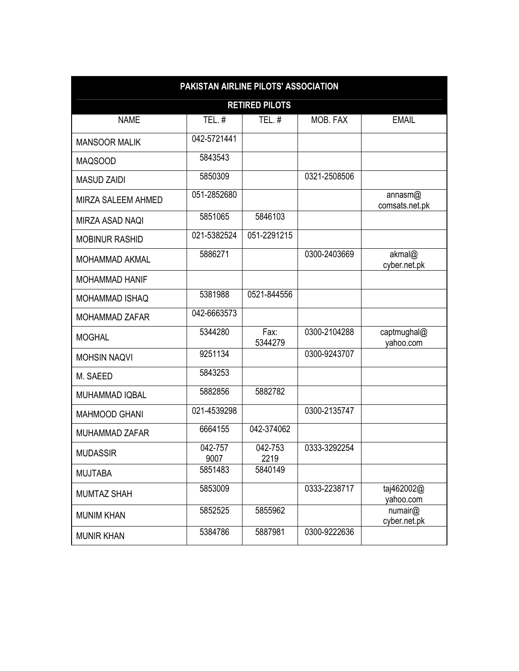| PAKISTAN AIRLINE PILOTS' ASSOCIATION |                 |                 |              |                           |  |  |  |
|--------------------------------------|-----------------|-----------------|--------------|---------------------------|--|--|--|
| <b>RETIRED PILOTS</b>                |                 |                 |              |                           |  |  |  |
| <b>NAME</b>                          | TEL.#           | <b>TEL.#</b>    | MOB. FAX     | <b>EMAIL</b>              |  |  |  |
| <b>MANSOOR MALIK</b>                 | 042-5721441     |                 |              |                           |  |  |  |
| <b>MAQSOOD</b>                       | 5843543         |                 |              |                           |  |  |  |
| <b>MASUD ZAIDI</b>                   | 5850309         |                 | 0321-2508506 |                           |  |  |  |
| MIRZA SALEEM AHMED                   | 051-2852680     |                 |              | annasm@<br>comsats.net.pk |  |  |  |
| MIRZA ASAD NAQI                      | 5851065         | 5846103         |              |                           |  |  |  |
| <b>MOBINUR RASHID</b>                | 021-5382524     | 051-2291215     |              |                           |  |  |  |
| <b>MOHAMMAD AKMAL</b>                | 5886271         |                 | 0300-2403669 | akmal@<br>cyber.net.pk    |  |  |  |
| <b>MOHAMMAD HANIF</b>                |                 |                 |              |                           |  |  |  |
| <b>MOHAMMAD ISHAQ</b>                | 5381988         | 0521-844556     |              |                           |  |  |  |
| <b>MOHAMMAD ZAFAR</b>                | 042-6663573     |                 |              |                           |  |  |  |
| <b>MOGHAL</b>                        | 5344280         | Fax:<br>5344279 | 0300-2104288 | captmughal@<br>yahoo.com  |  |  |  |
| <b>MOHSIN NAQVI</b>                  | 9251134         |                 | 0300-9243707 |                           |  |  |  |
| M. SAEED                             | 5843253         |                 |              |                           |  |  |  |
| MUHAMMAD IQBAL                       | 5882856         | 5882782         |              |                           |  |  |  |
| <b>MAHMOOD GHANI</b>                 | 021-4539298     |                 | 0300-2135747 |                           |  |  |  |
| MUHAMMAD ZAFAR                       | 6664155         | 042-374062      |              |                           |  |  |  |
| <b>MUDASSIR</b>                      | 042-757<br>9007 | 042-753<br>2219 | 0333-3292254 |                           |  |  |  |
| <b>MUJTABA</b>                       | 5851483         | 5840149         |              |                           |  |  |  |
| <b>MUMTAZ SHAH</b>                   | 5853009         |                 | 0333-2238717 | taj462002@<br>yahoo.com   |  |  |  |
| <b>MUNIM KHAN</b>                    | 5852525         | 5855962         |              | numair@<br>cyber.net.pk   |  |  |  |
| <b>MUNIR KHAN</b>                    | 5384786         | 5887981         | 0300-9222636 |                           |  |  |  |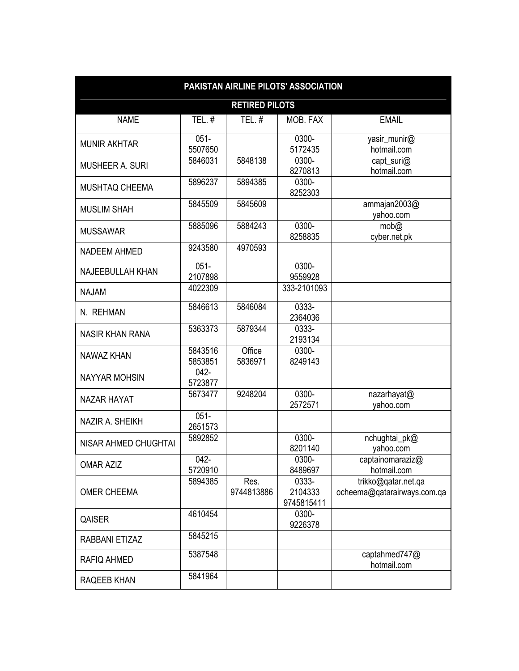| PAKISTAN AIRLINE PILOTS' ASSOCIATION |                    |                       |                                |                                                    |  |
|--------------------------------------|--------------------|-----------------------|--------------------------------|----------------------------------------------------|--|
|                                      |                    | <b>RETIRED PILOTS</b> |                                |                                                    |  |
| <b>NAME</b>                          | TEL.#              | TEL.#                 | MOB. FAX                       | <b>EMAIL</b>                                       |  |
| <b>MUNIR AKHTAR</b>                  | $051 -$<br>5507650 |                       | 0300-<br>5172435               | yasir_munir@<br>hotmail.com                        |  |
| <b>MUSHEER A. SURI</b>               | 5846031            | 5848138               | 0300-<br>8270813               | capt_suri@<br>hotmail.com                          |  |
| MUSHTAQ CHEEMA                       | 5896237            | 5894385               | 0300-<br>8252303               |                                                    |  |
| <b>MUSLIM SHAH</b>                   | 5845509            | 5845609               |                                | ammajan2003@<br>yahoo.com                          |  |
| <b>MUSSAWAR</b>                      | 5885096            | 5884243               | 0300-<br>8258835               | mob@<br>cyber.net.pk                               |  |
| <b>NADEEM AHMED</b>                  | 9243580            | 4970593               |                                |                                                    |  |
| <b>NAJEEBULLAH KHAN</b>              | $051 -$<br>2107898 |                       | 0300-<br>9559928               |                                                    |  |
| <b>NAJAM</b>                         | 4022309            |                       | 333-2101093                    |                                                    |  |
| N. REHMAN                            | 5846613            | 5846084               | 0333-<br>2364036               |                                                    |  |
| <b>NASIR KHAN RANA</b>               | 5363373            | 5879344               | 0333-<br>2193134               |                                                    |  |
| <b>NAWAZ KHAN</b>                    | 5843516<br>5853851 | Office<br>5836971     | 0300-<br>8249143               |                                                    |  |
| <b>NAYYAR MOHSIN</b>                 | $042 -$<br>5723877 |                       |                                |                                                    |  |
| <b>NAZAR HAYAT</b>                   | 5673477            | 9248204               | 0300-<br>2572571               | nazarhayat@<br>yahoo.com                           |  |
| NAZIR A. SHEIKH                      | $051 -$<br>2651573 |                       |                                |                                                    |  |
| <b>NISAR AHMED CHUGHTAI</b>          | 5892852            |                       | 0300-<br>8201140               | nchughtai_pk@<br>yahoo.com                         |  |
| <b>OMAR AZIZ</b>                     | $042 -$<br>5720910 |                       | 0300-<br>8489697               | captainomaraziz@<br>hotmail.com                    |  |
| <b>OMER CHEEMA</b>                   | 5894385            | Res.<br>9744813886    | 0333-<br>2104333<br>9745815411 | trikko@qatar.net.qa<br>ocheema@gatarairways.com.ga |  |
| QAISER                               | 4610454            |                       | 0300-<br>9226378               |                                                    |  |
| RABBANI ETIZAZ                       | 5845215            |                       |                                |                                                    |  |
| <b>RAFIQ AHMED</b>                   | 5387548            |                       |                                | captahmed747@<br>hotmail.com                       |  |
| RAQEEB KHAN                          | 5841964            |                       |                                |                                                    |  |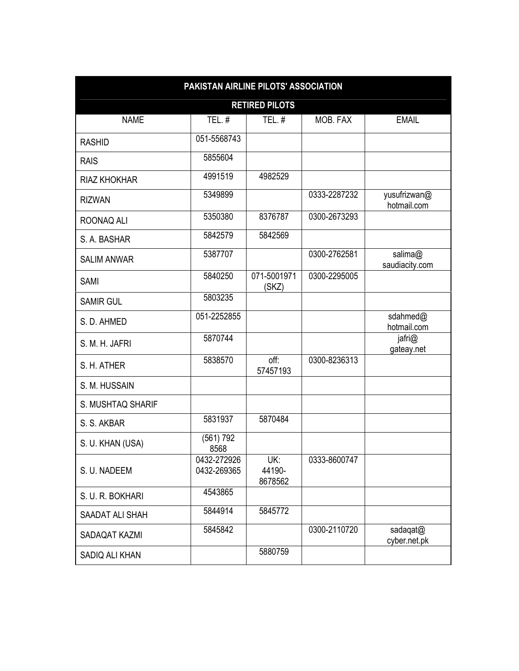| PAKISTAN AIRLINE PILOTS' ASSOCIATION |                            |                          |              |                             |  |  |  |
|--------------------------------------|----------------------------|--------------------------|--------------|-----------------------------|--|--|--|
| <b>RETIRED PILOTS</b>                |                            |                          |              |                             |  |  |  |
| <b>NAME</b>                          | TEL.#                      | TEL.#                    | MOB. FAX     | <b>EMAIL</b>                |  |  |  |
| <b>RASHID</b>                        | 051-5568743                |                          |              |                             |  |  |  |
| <b>RAIS</b>                          | 5855604                    |                          |              |                             |  |  |  |
| <b>RIAZ KHOKHAR</b>                  | 4991519                    | 4982529                  |              |                             |  |  |  |
| <b>RIZWAN</b>                        | 5349899                    |                          | 0333-2287232 | yusufrizwan@<br>hotmail.com |  |  |  |
| ROONAQ ALI                           | 5350380                    | 8376787                  | 0300-2673293 |                             |  |  |  |
| S. A. BASHAR                         | 5842579                    | 5842569                  |              |                             |  |  |  |
| <b>SALIM ANWAR</b>                   | 5387707                    |                          | 0300-2762581 | salima@<br>saudiacity.com   |  |  |  |
| <b>SAMI</b>                          | 5840250                    | 071-5001971<br>(SKZ)     | 0300-2295005 |                             |  |  |  |
| <b>SAMIR GUL</b>                     | 5803235                    |                          |              |                             |  |  |  |
| S. D. AHMED                          | 051-2252855                |                          |              | sdahmed@<br>hotmail.com     |  |  |  |
| S. M. H. JAFRI                       | 5870744                    |                          |              | jafri@<br>gateay.net        |  |  |  |
| S. H. ATHER                          | 5838570                    | off:<br>57457193         | 0300-8236313 |                             |  |  |  |
| S. M. HUSSAIN                        |                            |                          |              |                             |  |  |  |
| S. MUSHTAQ SHARIF                    |                            |                          |              |                             |  |  |  |
| S. S. AKBAR                          | 5831937                    | 5870484                  |              |                             |  |  |  |
| S. U. KHAN (USA)                     | (561) 792<br>8568          |                          |              |                             |  |  |  |
| S. U. NADEEM                         | 0432-272926<br>0432-269365 | UK:<br>44190-<br>8678562 | 0333-8600747 |                             |  |  |  |
| S. U. R. BOKHARI                     | 4543865                    |                          |              |                             |  |  |  |
| SAADAT ALI SHAH                      | 5844914                    | 5845772                  |              |                             |  |  |  |
| SADAQAT KAZMI                        | 5845842                    |                          | 0300-2110720 | sadaqat@<br>cyber.net.pk    |  |  |  |
| SADIQ ALI KHAN                       |                            | 5880759                  |              |                             |  |  |  |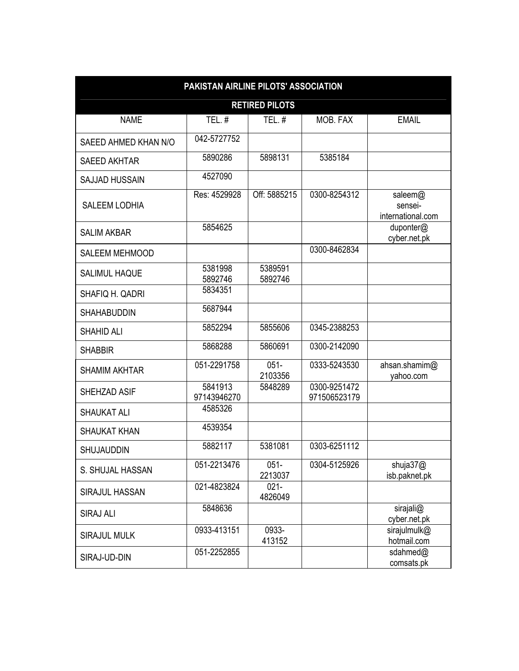| PAKISTAN AIRLINE PILOTS' ASSOCIATION |                        |                    |                              |                                         |  |  |  |
|--------------------------------------|------------------------|--------------------|------------------------------|-----------------------------------------|--|--|--|
| <b>RETIRED PILOTS</b>                |                        |                    |                              |                                         |  |  |  |
| <b>NAME</b>                          | $TEL.$ #               | TEL. $#$           | MOB. FAX                     | <b>EMAIL</b>                            |  |  |  |
| SAEED AHMED KHAN N/O                 | 042-5727752            |                    |                              |                                         |  |  |  |
| <b>SAEED AKHTAR</b>                  | 5890286                | 5898131            | 5385184                      |                                         |  |  |  |
| <b>SAJJAD HUSSAIN</b>                | 4527090                |                    |                              |                                         |  |  |  |
| <b>SALEEM LODHIA</b>                 | Res: 4529928           | Off: 5885215       | 0300-8254312                 | saleem@<br>sensei-<br>international.com |  |  |  |
| <b>SALIM AKBAR</b>                   | 5854625                |                    |                              | duponter@<br>cyber.net.pk               |  |  |  |
| <b>SALEEM MEHMOOD</b>                |                        |                    | 0300-8462834                 |                                         |  |  |  |
| <b>SALIMUL HAQUE</b>                 | 5381998<br>5892746     | 5389591<br>5892746 |                              |                                         |  |  |  |
| SHAFIQ H. QADRI                      | 5834351                |                    |                              |                                         |  |  |  |
| <b>SHAHABUDDIN</b>                   | 5687944                |                    |                              |                                         |  |  |  |
| <b>SHAHID ALI</b>                    | 5852294                | 5855606            | 0345-2388253                 |                                         |  |  |  |
| <b>SHABBIR</b>                       | 5868288                | 5860691            | 0300-2142090                 |                                         |  |  |  |
| <b>SHAMIM AKHTAR</b>                 | 051-2291758            | $051 -$<br>2103356 | 0333-5243530                 | ahsan.shamim@<br>yahoo.com              |  |  |  |
| SHEHZAD ASIF                         | 5841913<br>97143946270 | 5848289            | 0300-9251472<br>971506523179 |                                         |  |  |  |
| <b>SHAUKAT ALI</b>                   | 4585326                |                    |                              |                                         |  |  |  |
| <b>SHAUKAT KHAN</b>                  | 4539354                |                    |                              |                                         |  |  |  |
| <b>SHUJAUDDIN</b>                    | 5882117                | 5381081            | 0303-6251112                 |                                         |  |  |  |
| S. SHUJAL HASSAN                     | 051-2213476            | $051 -$<br>2213037 | 0304-5125926                 | shuja37@<br>isb.paknet.pk               |  |  |  |
| SIRAJUL HASSAN                       | 021-4823824            | $021 -$<br>4826049 |                              |                                         |  |  |  |
| <b>SIRAJ ALI</b>                     | 5848636                |                    |                              | sirajali@<br>cyber.net.pk               |  |  |  |
| <b>SIRAJUL MULK</b>                  | 0933-413151            | 0933-<br>413152    |                              | sirajulmulk@<br>hotmail.com             |  |  |  |
| SIRAJ-UD-DIN                         | 051-2252855            |                    |                              | sdahmed@<br>comsats.pk                  |  |  |  |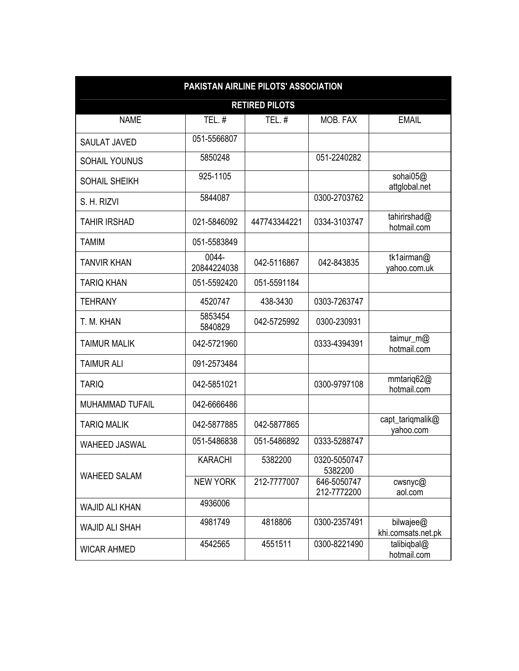| PAKISTAN AIRLINE PILOTS' ASSOCIATION |                       |              |                            |                                 |  |  |  |  |
|--------------------------------------|-----------------------|--------------|----------------------------|---------------------------------|--|--|--|--|
|                                      | <b>RETIRED PILOTS</b> |              |                            |                                 |  |  |  |  |
| <b>NAME</b>                          | TEL.#                 | TEL.#        | MOB. FAX                   | <b>EMAIL</b>                    |  |  |  |  |
| <b>SAULAT JAVED</b>                  | 051-5566807           |              |                            |                                 |  |  |  |  |
| SOHAIL YOUNUS                        | 5850248               |              | 051-2240282                |                                 |  |  |  |  |
| <b>SOHAIL SHEIKH</b>                 | 925-1105              |              |                            | sohai05@<br>attglobal.net       |  |  |  |  |
| S. H. RIZVI                          | 5844087               |              | 0300-2703762               |                                 |  |  |  |  |
| <b>TAHIR IRSHAD</b>                  | 021-5846092           | 447743344221 | 0334-3103747               | tahirirshad@<br>hotmail.com     |  |  |  |  |
| <b>TAMIM</b>                         | 051-5583849           |              |                            |                                 |  |  |  |  |
| <b>TANVIR KHAN</b>                   | 0044-<br>20844224038  | 042-5116867  | 042-843835                 | tk1airman@<br>vahoo.com.uk      |  |  |  |  |
| <b>TARIQ KHAN</b>                    | 051-5592420           | 051-5591184  |                            |                                 |  |  |  |  |
| <b>TEHRANY</b>                       | 4520747               | 438-3430     | 0303-7263747               |                                 |  |  |  |  |
| T. M. KHAN                           | 5853454<br>5840829    | 042-5725992  | 0300-230931                |                                 |  |  |  |  |
| <b>TAIMUR MALIK</b>                  | 042-5721960           |              | 0333-4394391               | taimur_m@<br>hotmail.com        |  |  |  |  |
| <b>TAIMUR ALI</b>                    | 091-2573484           |              |                            |                                 |  |  |  |  |
| <b>TARIQ</b>                         | 042-5851021           |              | 0300-9797108               | mmtariq62@<br>hotmail.com       |  |  |  |  |
| <b>MUHAMMAD TUFAIL</b>               | 042-6666486           |              |                            |                                 |  |  |  |  |
| <b>TARIQ MALIK</b>                   | 042-5877885           | 042-5877865  |                            | capt_tariqmalik@<br>yahoo.com   |  |  |  |  |
| <b>WAHEED JASWAL</b>                 | 051-5486838           | 051-5486892  | 0333-5288747               |                                 |  |  |  |  |
|                                      | <b>KARACHI</b>        | 5382200      | 0320-5050747<br>5382200    |                                 |  |  |  |  |
| <b>WAHEED SALAM</b>                  | <b>NEW YORK</b>       | 212-7777007  | 646-5050747<br>212-7772200 | cwsnyc@<br>aol.com              |  |  |  |  |
| <b>WAJID ALI KHAN</b>                | 4936006               |              |                            |                                 |  |  |  |  |
| <b>WAJID ALI SHAH</b>                | 4981749               | 4818806      | 0300-2357491               | bilwajee@<br>khi.comsats.net.pk |  |  |  |  |
| <b>WICAR AHMED</b>                   | 4542565               | 4551511      | 0300-8221490               | talibiqbal@<br>hotmail.com      |  |  |  |  |